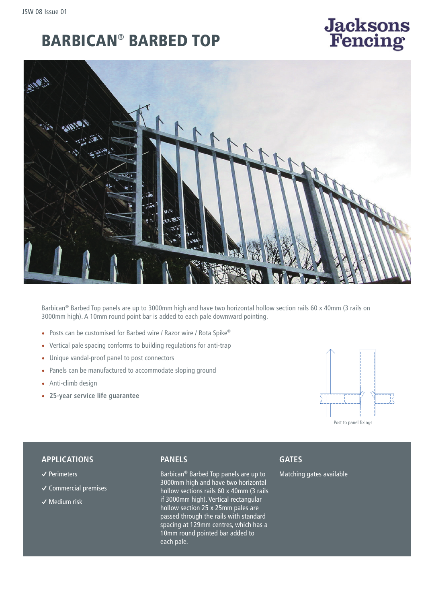### BARBICAN® BARBED TOP

# **Jacksons**<br>Fencing



Barbican® Barbed Top panels are up to 3000mm high and have two horizontal hollow section rails 60 x 40mm (3 rails on 3000mm high). A 10mm round point bar is added to each pale downward pointing.

- Posts can be customised for Barbed wire / Razor wire / Rota Spike®
- Vertical pale spacing conforms to building regulations for anti-trap
- Unique vandal-proof panel to post connectors
- Panels can be manufactured to accommodate sloping ground
- Anti-climb design
- **25-year service life guarantee**



#### **APPLICATIONS**

- **�** Perimeters
- **�** Commercial premises
- **�** Medium risk

#### **PANELS**

Barbican® Barbed Top panels are up to 3000mm high and have two horizontal hollow sections rails 60 x 40mm (3 rails if 3000mm high). Vertical rectangular hollow section 25 x 25mm pales are passed through the rails with standard spacing at 129mm centres, which has a 10mm round pointed bar added to each pale.

#### **GATES**

Matching gates available